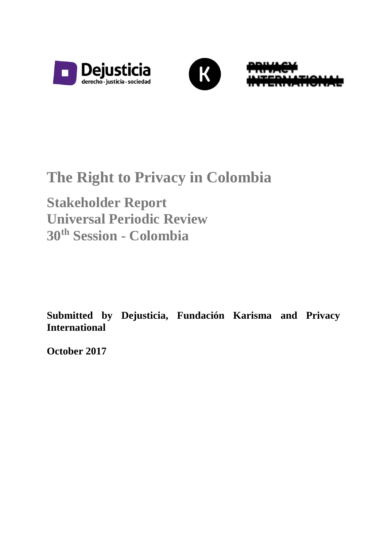





# **The Right to Privacy in Colombia**

**Stakeholder Report Universal Periodic Review 30th Session - Colombia**

**Submitted by Dejusticia, Fundación Karisma and Privacy International**

**October 2017**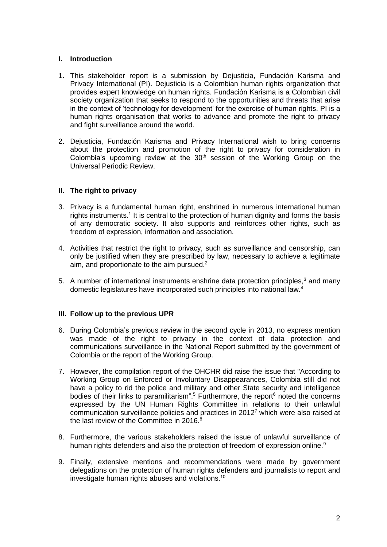# **I. Introduction**

- 1. This stakeholder report is a submission by Dejusticia, Fundación Karisma and Privacy International (PI). Dejusticia is a Colombian human rights organization that provides expert knowledge on human rights. Fundación Karisma is a Colombian civil society organization that seeks to respond to the opportunities and threats that arise in the context of 'technology for development' for the exercise of human rights. PI is a human rights organisation that works to advance and promote the right to privacy and fight surveillance around the world.
- 2. Dejusticia, Fundación Karisma and Privacy International wish to bring concerns about the protection and promotion of the right to privacy for consideration in Colombia's upcoming review at the  $30<sup>th</sup>$  session of the Working Group on the Universal Periodic Review.

# **II. The right to privacy**

- 3. Privacy is a fundamental human right, enshrined in numerous international human rights instruments.<sup>1</sup> It is central to the protection of human dignity and forms the basis of any democratic society. It also supports and reinforces other rights, such as freedom of expression, information and association.
- 4. Activities that restrict the right to privacy, such as surveillance and censorship, can only be justified when they are prescribed by law, necessary to achieve a legitimate aim, and proportionate to the aim pursued.<sup>2</sup>
- 5. A number of international instruments enshrine data protection principles,<sup>3</sup> and many domestic legislatures have incorporated such principles into national law.<sup>4</sup>

# **III. Follow up to the previous UPR**

- 6. During Colombia's previous review in the second cycle in 2013, no express mention was made of the right to privacy in the context of data protection and communications surveillance in the National Report submitted by the government of Colombia or the report of the Working Group.
- 7. However, the compilation report of the OHCHR did raise the issue that "According to Working Group on Enforced or Involuntary Disappearances, Colombia still did not have a policy to rid the police and military and other State security and intelligence bodies of their links to paramilitarism".<sup>5</sup> Furthermore, the report<sup>6</sup> noted the concerns expressed by the UN Human Rights Committee in relations to their unlawful communication surveillance policies and practices in 2012<sup>7</sup> which were also raised at the last review of the Committee in 2016.<sup>8</sup>
- 8. Furthermore, the various stakeholders raised the issue of unlawful surveillance of human rights defenders and also the protection of freedom of expression online.<sup>9</sup>
- 9. Finally, extensive mentions and recommendations were made by government delegations on the protection of human rights defenders and journalists to report and investigate human rights abuses and violations.10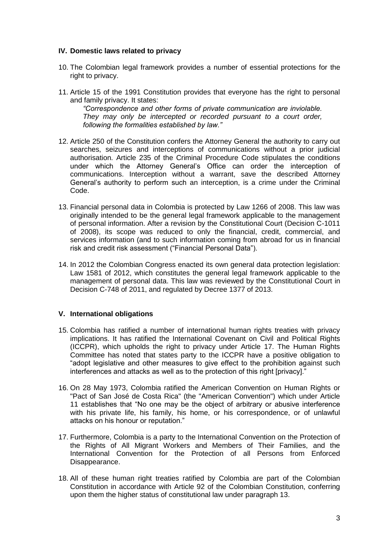# **IV. Domestic laws related to privacy**

- 10. The Colombian legal framework provides a number of essential protections for the right to privacy.
- 11. Article 15 of the 1991 Constitution provides that everyone has the right to personal and family privacy. It states:

*"Correspondence and other forms of private communication are inviolable. They may only be intercepted or recorded pursuant to a court order, following the formalities established by law."*

- 12. Article 250 of the Constitution confers the Attorney General the authority to carry out searches, seizures and interceptions of communications without a prior judicial authorisation. Article 235 of the Criminal Procedure Code stipulates the conditions under which the Attorney General's Office can order the interception of communications. Interception without a warrant, save the described Attorney General's authority to perform such an interception, is a crime under the Criminal Code.
- 13. Financial personal data in Colombia is protected by Law 1266 of 2008. This law was originally intended to be the general legal framework applicable to the management of personal information. After a revision by the Constitutional Court (Decision C-1011 of 2008), its scope was reduced to only the financial, credit, commercial, and services information (and to such information coming from abroad for us in financial risk and credit risk assessment ("Financial Personal Data").
- 14. In 2012 the Colombian Congress enacted its own general data protection legislation: Law 1581 of 2012, which constitutes the general legal framework applicable to the management of personal data. This law was reviewed by the Constitutional Court in Decision C-748 of 2011, and regulated by Decree 1377 of 2013.

# **V. International obligations**

- 15. Colombia has ratified a number of international human rights treaties with privacy implications. It has ratified the International Covenant on Civil and Political Rights (ICCPR), which upholds the right to privacy under Article 17. The Human Rights Committee has noted that states party to the ICCPR have a positive obligation to "adopt legislative and other measures to give effect to the prohibition against such interferences and attacks as well as to the protection of this right [privacy]."
- 16. On 28 May 1973, Colombia ratified the American Convention on Human Rights or "Pact of San José de Costa Rica" (the "American Convention") which under Article 11 establishes that "No one may be the object of arbitrary or abusive interference with his private life, his family, his home, or his correspondence, or of unlawful attacks on his honour or reputation."
- 17. Furthermore, Colombia is a party to the International Convention on the Protection of the Rights of All Migrant Workers and Members of Their Families, and the International Convention for the Protection of all Persons from Enforced Disappearance.
- 18. All of these human right treaties ratified by Colombia are part of the Colombian Constitution in accordance with Article 92 of the Colombian Constitution, conferring upon them the higher status of constitutional law under paragraph 13.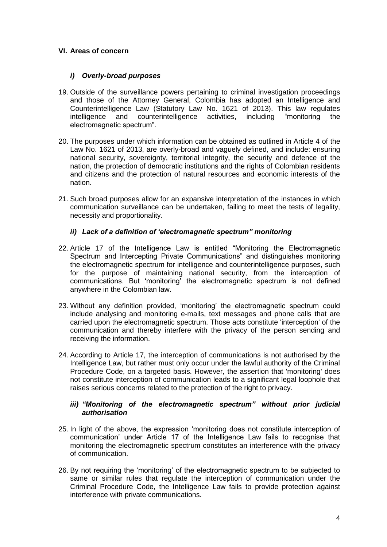# **VI. Areas of concern**

# *i) Overly-broad purposes*

- 19. Outside of the surveillance powers pertaining to criminal investigation proceedings and those of the Attorney General, Colombia has adopted an Intelligence and Counterintelligence Law (Statutory Law No. 1621 of 2013). This law regulates intelligence and counterintelligence activities, including "monitoring the electromagnetic spectrum".
- 20. The purposes under which information can be obtained as outlined in Article 4 of the Law No. 1621 of 2013, are overly-broad and vaguely defined, and include: ensuring national security, sovereignty, territorial integrity, the security and defence of the nation, the protection of democratic institutions and the rights of Colombian residents and citizens and the protection of natural resources and economic interests of the nation.
- 21. Such broad purposes allow for an expansive interpretation of the instances in which communication surveillance can be undertaken, failing to meet the tests of legality, necessity and proportionality.

# *ii) Lack of a definition of 'electromagnetic spectrum" monitoring*

- 22. Article 17 of the Intelligence Law is entitled "Monitoring the Electromagnetic Spectrum and Intercepting Private Communications" and distinguishes monitoring the electromagnetic spectrum for intelligence and counterintelligence purposes, such for the purpose of maintaining national security, from the interception of communications. But 'monitoring' the electromagnetic spectrum is not defined anywhere in the Colombian law.
- 23. Without any definition provided, 'monitoring' the electromagnetic spectrum could include analysing and monitoring e-mails, text messages and phone calls that are carried upon the electromagnetic spectrum. Those acts constitute 'interception' of the communication and thereby interfere with the privacy of the person sending and receiving the information.
- 24. According to Article 17, the interception of communications is not authorised by the Intelligence Law, but rather must only occur under the lawful authority of the Criminal Procedure Code, on a targeted basis. However, the assertion that 'monitoring' does not constitute interception of communication leads to a significant legal loophole that raises serious concerns related to the protection of the right to privacy.

# *iii) "Monitoring of the electromagnetic spectrum" without prior judicial authorisation*

- 25. In light of the above, the expression 'monitoring does not constitute interception of communication' under Article 17 of the Intelligence Law fails to recognise that monitoring the electromagnetic spectrum constitutes an interference with the privacy of communication.
- 26. By not requiring the 'monitoring' of the electromagnetic spectrum to be subjected to same or similar rules that regulate the interception of communication under the Criminal Procedure Code, the Intelligence Law fails to provide protection against interference with private communications.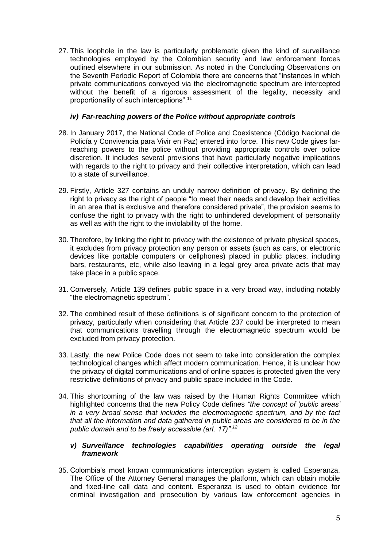27. This loophole in the law is particularly problematic given the kind of surveillance technologies employed by the Colombian security and law enforcement forces outlined elsewhere in our submission. As noted in the Concluding Observations on the Seventh Periodic Report of Colombia there are concerns that "instances in which private communications conveyed via the electromagnetic spectrum are intercepted without the benefit of a rigorous assessment of the legality, necessity and proportionality of such interceptions".<sup>11</sup>

## *iv) Far-reaching powers of the Police without appropriate controls*

- 28. In January 2017, the National Code of Police and Coexistence (Código Nacional de Policía y Convivencia para Vivir en Paz) entered into force. This new Code gives farreaching powers to the police without providing appropriate controls over police discretion. It includes several provisions that have particularly negative implications with regards to the right to privacy and their collective interpretation, which can lead to a state of surveillance.
- 29. Firstly, Article 327 contains an unduly narrow definition of privacy. By defining the right to privacy as the right of people "to meet their needs and develop their activities in an area that is exclusive and therefore considered private", the provision seems to confuse the right to privacy with the right to unhindered development of personality as well as with the right to the inviolability of the home.
- 30. Therefore, by linking the right to privacy with the existence of private physical spaces, it excludes from privacy protection any person or assets (such as cars, or electronic devices like portable computers or cellphones) placed in public places, including bars, restaurants, etc, while also leaving in a legal grey area private acts that may take place in a public space.
- 31. Conversely, Article 139 defines public space in a very broad way, including notably "the electromagnetic spectrum".
- 32. The combined result of these definitions is of significant concern to the protection of privacy, particularly when considering that Article 237 could be interpreted to mean that communications travelling through the electromagnetic spectrum would be excluded from privacy protection.
- 33. Lastly, the new Police Code does not seem to take into consideration the complex technological changes which affect modern communication. Hence, it is unclear how the privacy of digital communications and of online spaces is protected given the very restrictive definitions of privacy and public space included in the Code.
- 34. This shortcoming of the law was raised by the Human Rights Committee which highlighted concerns that the new Policy Code defines *"the concept of 'public areas' in a very broad sense that includes the electromagnetic spectrum, and by the fact that all the information and data gathered in public areas are considered to be in the public domain and to be freely accessible (art. 17)".<sup>12</sup>*

# *v) Surveillance technologies capabilities operating outside the legal framework*

35. Colombia's most known communications interception system is called Esperanza. The Office of the Attorney General manages the platform, which can obtain mobile and fixed-line call data and content. Esperanza is used to obtain evidence for criminal investigation and prosecution by various law enforcement agencies in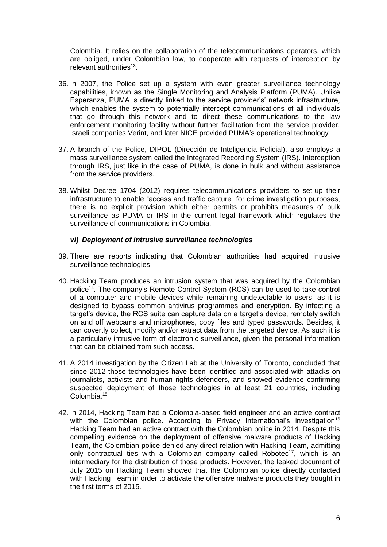Colombia. It relies on the collaboration of the telecommunications operators, which are obliged, under Colombian law, to cooperate with requests of interception by relevant authorities<sup>13</sup>.

- 36. In 2007, the Police set up a system with even greater surveillance technology capabilities, known as the Single Monitoring and Analysis Platform (PUMA). Unlike Esperanza, PUMA is directly linked to the service provider's' network infrastructure, which enables the system to potentially intercept communications of all individuals that go through this network and to direct these communications to the law enforcement monitoring facility without further facilitation from the service provider. Israeli companies Verint, and later NICE provided PUMA's operational technology.
- 37. A branch of the Police, DIPOL (Dirección de Inteligencia Policial), also employs a mass surveillance system called the Integrated Recording System (IRS). Interception through IRS, just like in the case of PUMA, is done in bulk and without assistance from the service providers.
- 38. Whilst Decree 1704 (2012) requires telecommunications providers to set-up their infrastructure to enable "access and traffic capture" for crime investigation purposes, there is no explicit provision which either permits or prohibits measures of bulk surveillance as PUMA or IRS in the current legal framework which regulates the surveillance of communications in Colombia.

## *vi) Deployment of intrusive surveillance technologies*

- 39. There are reports indicating that Colombian authorities had acquired intrusive surveillance technologies.
- 40. Hacking Team produces an intrusion system that was acquired by the Colombian police<sup>14</sup>. The company's Remote Control System (RCS) can be used to take control of a computer and mobile devices while remaining undetectable to users, as it is designed to bypass common antivirus programmes and encryption. By infecting a target's device, the RCS suite can capture data on a target's device, remotely switch on and off webcams and microphones, copy files and typed passwords. Besides, it can covertly collect, modify and/or extract data from the targeted device. As such it is a particularly intrusive form of electronic surveillance, given the personal information that can be obtained from such access.
- 41. A 2014 investigation by the Citizen Lab at the University of Toronto, concluded that since 2012 those technologies have been identified and associated with attacks on journalists, activists and human rights defenders, and showed evidence confirming suspected deployment of those technologies in at least 21 countries, including Colombia<sup>15</sup>
- 42. In 2014, Hacking Team had a Colombia-based field engineer and an active contract with the Colombian police. According to Privacy International's investigation<sup>16</sup> Hacking Team had an active contract with the Colombian police in 2014. Despite this compelling evidence on the deployment of offensive malware products of Hacking Team, the Colombian police denied any direct relation with Hacking Team, admitting only contractual ties with a Colombian company called Robotec<sup>17</sup>, which is an intermediary for the distribution of those products. However, the leaked document of July 2015 on Hacking Team showed that the Colombian police directly contacted with Hacking Team in order to activate the offensive malware products they bought in the first terms of 2015.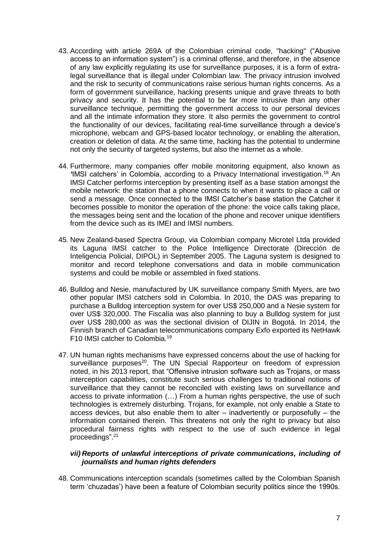- 43. According with article 269A of the Colombian criminal code, "hacking" ("Abusive access to an information system") is a criminal offense, and therefore, in the absence of any law explicitly regulating its use for surveillance purposes, it is a form of extralegal surveillance that is illegal under Colombian law. The privacy intrusion involved and the risk to security of communications raise serious human rights concerns. As a form of government surveillance, hacking presents unique and grave threats to both privacy and security. It has the potential to be far more intrusive than any other surveillance technique, permitting the government access to our personal devices and all the intimate information they store. It also permits the government to control the functionality of our devices, facilitating real-time surveillance through a device's microphone, webcam and GPS-based locator technology, or enabling the alteration, creation or deletion of data. At the same time, hacking has the potential to undermine not only the security of targeted systems, but also the internet as a whole.
- 44. Furthermore, many companies offer mobile monitoring equipment, also known as *'*IMSI catchers' in Colombia, according to a Privacy International investigation.<sup>18</sup> An IMSI Catcher performs interception by presenting itself as a base station amongst the mobile network: the station that a phone connects to when it wants to place a call or send a message. Once connected to the IMSI Catcher's base station the Catcher it becomes possible to monitor the operation of the phone: the voice calls taking place, the messages being sent and the location of the phone and recover unique identifiers from the device such as its IMEI and IMSI numbers.
- 45. New Zealand-based Spectra Group, via Colombian company Microtel Ltda provided its Laguna IMSI catcher to the Police Intelligence Directorate (Dirección de Inteligencia Policial, DIPOL) in September 2005. The Laguna system is designed to monitor and record telephone conversations and data in mobile communication systems and could be mobile or assembled in fixed stations.
- 46. Bulldog and Nesie, manufactured by UK surveillance company Smith Myers, are two other popular IMSI catchers sold in Colombia. In 2010, the DAS was preparing to purchase a Bulldog interception system for over US\$ 250,000 and a Nesie system for over US\$ 320,000. The Fiscalía was also planning to buy a Bulldog system for just over US\$ 280,000 as was the sectional division of DIJIN in Bogotá. In 2014, the Finnish branch of Canadian telecommunications company Exfo exported its NetHawk F10 IMSI catcher to Colombia.<sup>19</sup>
- 47. UN human rights mechanisms have expressed concerns about the use of hacking for surveillance purposes $^{20}$ . The UN Special Rapporteur on freedom of expression noted, in his 2013 report, that "Offensive intrusion software such as Trojans, or mass interception capabilities, constitute such serious challenges to traditional notions of surveillance that they cannot be reconciled with existing laws on surveillance and access to private information (…) From a human rights perspective, the use of such technologies is extremely disturbing. Trojans, for example, not only enable a State to access devices, but also enable them to alter – inadvertently or purposefully – the information contained therein. This threatens not only the right to privacy but also procedural fairness rights with respect to the use of such evidence in legal proceedings". 21

# *vii) Reports of unlawful interceptions of private communications, including of journalists and human rights defenders*

48. Communications interception scandals (sometimes called by the Colombian Spanish term 'chuzadas') have been a feature of Colombian security politics since the 1990s.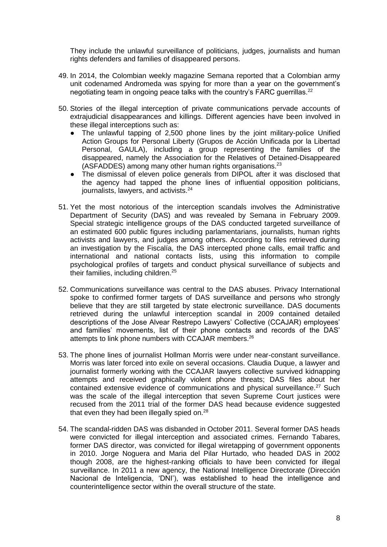They include the unlawful surveillance of politicians, judges, journalists and human rights defenders and families of disappeared persons.

- 49. In 2014, the Colombian weekly magazine Semana reported that a Colombian army unit codenamed Andromeda was spying for more than a year on the government's negotiating team in ongoing peace talks with the country's FARC guerrillas.<sup>22</sup>
- 50. Stories of the illegal interception of private communications pervade accounts of extrajudicial disappearances and killings. Different agencies have been involved in these illegal interceptions such as:
	- The unlawful tapping of 2,500 phone lines by the joint military-police Unified Action Groups for Personal Liberty (Grupos de Acción Unificada por la Libertad Personal, GAULA), including a group representing the families of the disappeared, namely the Association for the Relatives of Detained-Disappeared (ASFADDES) among many other human rights organisations. $^{23}$
	- The dismissal of eleven police generals from DIPOL after it was disclosed that the agency had tapped the phone lines of influential opposition politicians, journalists, lawyers, and activists.<sup>24</sup>
- 51. Yet the most notorious of the interception scandals involves the Administrative Department of Security (DAS) and was revealed by Semana in February 2009. Special strategic intelligence groups of the DAS conducted targeted surveillance of an estimated 600 public figures including parlamentarians, journalists, human rights activists and lawyers, and judges among others. According to files retrieved during an investigation by the Fiscalía, the DAS intercepted phone calls, email traffic and international and national contacts lists, using this information to compile psychological profiles of targets and conduct physical surveillance of subjects and their families, including children.<sup>25</sup>
- 52. Communications surveillance was central to the DAS abuses. Privacy International spoke to confirmed former targets of DAS surveillance and persons who strongly believe that they are still targeted by state electronic surveillance. DAS documents retrieved during the unlawful interception scandal in 2009 contained detailed descriptions of the Jose Alvear Restrepo Lawyers' Collective (CCAJAR) employees' and families' movements, list of their phone contacts and records of the DAS' attempts to link phone numbers with CCAJAR members.<sup>26</sup>
- 53. The phone lines of journalist Hollman Morris were under near-constant surveillance. Morris was later forced into exile on several occasions. Claudia Duque, a lawyer and journalist formerly working with the CCAJAR lawyers collective survived kidnapping attempts and received graphically violent phone threats; DAS files about her contained extensive evidence of communications and physical surveillance.<sup>27</sup> Such was the scale of the illegal interception that seven Supreme Court justices were recused from the 2011 trial of the former DAS head because evidence suggested that even they had been illegally spied on.<sup>28</sup>
- 54. The scandal-ridden DAS was disbanded in October 2011. Several former DAS heads were convicted for illegal interception and associated crimes. Fernando Tabares, former DAS director, was convicted for illegal wiretapping of government opponents in 2010. Jorge Noguera and Maria del Pilar Hurtado, who headed DAS in 2002 though 2008, are the highest-ranking officials to have been convicted for illegal surveillance. In 2011 a new agency, the National Intelligence Directorate (Dirección Nacional de Inteligencia, 'DNI'), was established to head the intelligence and counterintelligence sector within the overall structure of the state.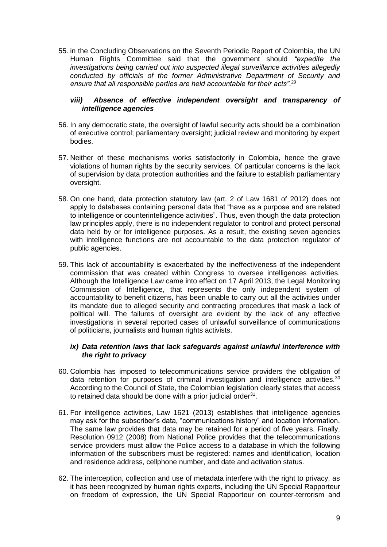55. in the Concluding Observations on the Seventh Periodic Report of Colombia, the UN Human Rights Committee said that the government should *"expedite the investigations being carried out into suspected illegal surveillance activities allegedly conducted by officials of the former Administrative Department of Security and*  ensure that all responsible parties are held accountable for their acts".<sup>29</sup>

# *viii) Absence of effective independent oversight and transparency of intelligence agencies*

- 56. In any democratic state, the oversight of lawful security acts should be a combination of executive control; parliamentary oversight; judicial review and monitoring by expert bodies.
- 57. Neither of these mechanisms works satisfactorily in Colombia, hence the grave violations of human rights by the security services. Of particular concerns is the lack of supervision by data protection authorities and the failure to establish parliamentary oversight.
- 58. On one hand, data protection statutory law (art. 2 of Law 1681 of 2012) does not apply to databases containing personal data that "have as a purpose and are related to intelligence or counterintelligence activities". Thus, even though the data protection law principles apply, there is no independent regulator to control and protect personal data held by or for intelligence purposes. As a result, the existing seven agencies with intelligence functions are not accountable to the data protection regulator of public agencies.
- 59. This lack of accountability is exacerbated by the ineffectiveness of the independent commission that was created within Congress to oversee intelligences activities. Although the Intelligence Law came into effect on 17 April 2013, the Legal Monitoring Commission of Intelligence, that represents the only independent system of accountability to benefit citizens, has been unable to carry out all the activities under its mandate due to alleged security and contracting procedures that mask a lack of political will. The failures of oversight are evident by the lack of any effective investigations in several reported cases of unlawful surveillance of communications of politicians, journalists and human rights activists.

# *ix) Data retention laws that lack safeguards against unlawful interference with the right to privacy*

- 60. Colombia has imposed to telecommunications service providers the obligation of data retention for purposes of criminal investigation and intelligence activities.<sup>30</sup> According to the Council of State, the Colombian legislation clearly states that access to retained data should be done with a prior judicial order $^{31}$ .
- 61. For intelligence activities, Law 1621 (2013) establishes that intelligence agencies may ask for the subscriber's data, "communications history" and location information. The same law provides that data may be retained for a period of five years. Finally, Resolution 0912 (2008) from National Police provides that the telecommunications service providers must allow the Police access to a database in which the following information of the subscribers must be registered: names and identification, location and residence address, cellphone number, and date and activation status.
- 62. The interception, collection and use of metadata interfere with the right to privacy, as it has been recognized by human rights experts, including the UN Special Rapporteur on freedom of expression, the UN Special Rapporteur on counter-terrorism and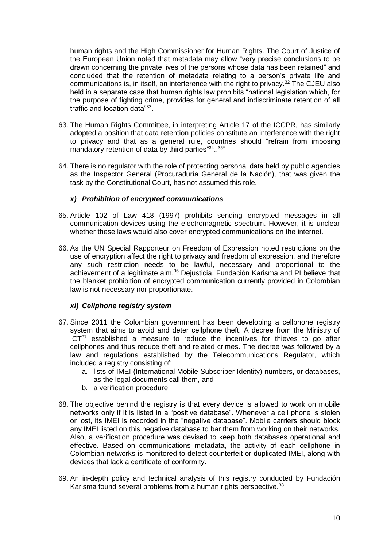human rights and the High Commissioner for Human Rights. The Court of Justice of the European Union noted that metadata may allow "very precise conclusions to be drawn concerning the private lives of the persons whose data has been retained" and concluded that the retention of metadata relating to a person's private life and communications is, in itself, an interference with the right to privacy. <sup>32</sup> The CJEU also held in a separate case that human rights law prohibits "national legislation which, for the purpose of fighting crime, provides for general and indiscriminate retention of all traffic and location data"<sup>33</sup>.

- 63. The Human Rights Committee, in interpreting Article 17 of the ICCPR, has similarly adopted a position that data retention policies constitute an interference with the right to privacy and that as a general rule, countries should "refrain from imposing mandatory retention of data by third parties"<sup>34</sup>..<sup>35</sup>"
- 64. There is no regulator with the role of protecting personal data held by public agencies as the Inspector General (Procuraduría General de la Nación), that was given the task by the Constitutional Court, has not assumed this role.

# *x) Prohibition of encrypted communications*

- 65. Article 102 of Law 418 (1997) prohibits sending encrypted messages in all communication devices using the electromagnetic spectrum. However, it is unclear whether these laws would also cover encrypted communications on the internet.
- 66. As the UN Special Rapporteur on Freedom of Expression noted restrictions on the use of encryption affect the right to privacy and freedom of expression, and therefore any such restriction needs to be lawful, necessary and proportional to the achievement of a legitimate aim.<sup>36</sup> Dejusticia, Fundación Karisma and PI believe that the blanket prohibition of encrypted communication currently provided in Colombian law is not necessary nor proportionate.

# *xi) Cellphone registry system*

- 67. Since 2011 the Colombian government has been developing a cellphone registry system that aims to avoid and deter cellphone theft. A decree from the Ministry of ICT<sup>37</sup> established a measure to reduce the incentives for thieves to go after cellphones and thus reduce theft and related crimes. The decree was followed by a law and regulations established by the Telecommunications Regulator, which included a registry consisting of:
	- a. lists of IMEI (International Mobile Subscriber Identity) numbers, or databases, as the legal documents call them, and
	- b. a verification procedure
- 68. The objective behind the registry is that every device is allowed to work on mobile networks only if it is listed in a "positive database". Whenever a cell phone is stolen or lost, its IMEI is recorded in the "negative database". Mobile carriers should block any IMEI listed on this negative database to bar them from working on their networks. Also, a verification procedure was devised to keep both databases operational and effective. Based on communications metadata, the activity of each cellphone in Colombian networks is monitored to detect counterfeit or duplicated IMEI, along with devices that lack a certificate of conformity.
- 69. An in-depth policy and technical analysis of this registry conducted by Fundación Karisma found several problems from a human rights perspective.<sup>38</sup>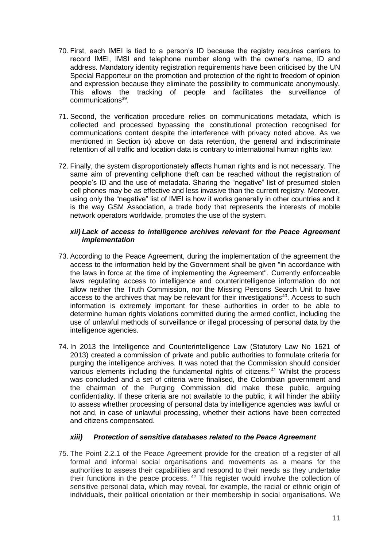- 70. First, each IMEI is tied to a person's ID because the registry requires carriers to record IMEI, IMSI and telephone number along with the owner's name, ID and address. Mandatory identity registration requirements have been criticised by the UN Special Rapporteur on the promotion and protection of the right to freedom of opinion and expression because they eliminate the possibility to communicate anonymously. This allows the tracking of people and facilitates the surveillance of communications<sup>39</sup>.
- 71. Second, the verification procedure relies on communications metadata, which is collected and processed bypassing the constitutional protection recognised for communications content despite the interference with privacy noted above. As we mentioned in Section ix) above on data retention, the general and indiscriminate retention of all traffic and location data is contrary to international human rights law.
- 72. Finally, the system disproportionately affects human rights and is not necessary. The same aim of preventing cellphone theft can be reached without the registration of people's ID and the use of metadata. Sharing the "negative" list of presumed stolen cell phones may be as effective and less invasive than the current registry. Moreover, using only the "negative" list of IMEI is how it works generally in other countries and it is the way GSM Association, a trade body that represents the interests of mobile network operators worldwide, promotes the use of the system.

# *xii) Lack of access to intelligence archives relevant for the Peace Agreement implementation*

- 73. According to the Peace Agreement, during the implementation of the agreement the access to the information held by the Government shall be given "in accordance with the laws in force at the time of implementing the Agreement". Currently enforceable laws regulating access to intelligence and counterintelligence information do not allow neither the Truth Commission, nor the Missing Persons Search Unit to have access to the archives that may be relevant for their investigations<sup>40</sup>. Access to such information is extremely important for these authorities in order to be able to determine human rights violations committed during the armed conflict, including the use of unlawful methods of surveillance or illegal processing of personal data by the intelligence agencies.
- 74. In 2013 the Intelligence and Counterintelligence Law (Statutory Law No 1621 of 2013) created a commission of private and public authorities to formulate criteria for purging the intelligence archives. It was noted that the Commission should consider various elements including the fundamental rights of citizens.<sup>41</sup> Whilst the process was concluded and a set of criteria were finalised, the Colombian government and the chairman of the Purging Commission did make these public, arguing confidentiality. If these criteria are not available to the public, it will hinder the ability to assess whether processing of personal data by intelligence agencies was lawful or not and, in case of unlawful processing, whether their actions have been corrected and citizens compensated.

# *xiii) Protection of sensitive databases related to the Peace Agreement*

75. The Point 2.2.1 of the Peace Agreement provide for the creation of a register of all formal and informal social organisations and movements as a means for the authorities to assess their capabilities and respond to their needs as they undertake their functions in the peace process. <sup>42</sup> This register would involve the collection of sensitive personal data, which may reveal, for example, the racial or ethnic origin of individuals, their political orientation or their membership in social organisations. We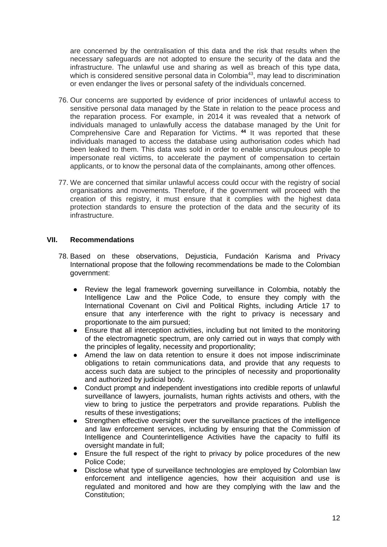are concerned by the centralisation of this data and the risk that results when the necessary safeguards are not adopted to ensure the security of the data and the infrastructure. The unlawful use and sharing as well as breach of this type data, which is considered sensitive personal data in Colombia<sup>43</sup>, may lead to discrimination or even endanger the lives or personal safety of the individuals concerned.

- 76. Our concerns are supported by evidence of prior incidences of unlawful access to sensitive personal data managed by the State in relation to the peace process and the reparation process. For example, in 2014 it was revealed that a network of individuals managed to unlawfully access the database managed by the Unit for Comprehensive Care and Reparation for Victims. **<sup>44</sup>** It was reported that these individuals managed to access the database using authorisation codes which had been leaked to them. This data was sold in order to enable unscrupulous people to impersonate real victims, to accelerate the payment of compensation to certain applicants, or to know the personal data of the complainants, among other offences.
- 77. We are concerned that similar unlawful access could occur with the registry of social organisations and movements. Therefore, if the government will proceed with the creation of this registry, it must ensure that it complies with the highest data protection standards to ensure the protection of the data and the security of its infrastructure.

# **VII. Recommendations**

- 78. Based on these observations, Dejusticia, Fundación Karisma and Privacy International propose that the following recommendations be made to the Colombian government:
	- Review the legal framework governing surveillance in Colombia, notably the Intelligence Law and the Police Code, to ensure they comply with the International Covenant on Civil and Political Rights, including Article 17 to ensure that any interference with the right to privacy is necessary and proportionate to the aim pursued;
	- Ensure that all interception activities, including but not limited to the monitoring of the electromagnetic spectrum, are only carried out in ways that comply with the principles of legality, necessity and proportionality;
	- Amend the law on data retention to ensure it does not impose indiscriminate obligations to retain communications data, and provide that any requests to access such data are subject to the principles of necessity and proportionality and authorized by judicial body.
	- Conduct prompt and independent investigations into credible reports of unlawful surveillance of lawyers, journalists, human rights activists and others, with the view to bring to justice the perpetrators and provide reparations. Publish the results of these investigations;
	- Strengthen effective oversight over the surveillance practices of the intelligence and law enforcement services, including by ensuring that the Commission of Intelligence and Counterintelligence Activities have the capacity to fulfil its oversight mandate in full;
	- Ensure the full respect of the right to privacy by police procedures of the new Police Code;
	- Disclose what type of surveillance technologies are employed by Colombian law enforcement and intelligence agencies, how their acquisition and use is regulated and monitored and how are they complying with the law and the Constitution;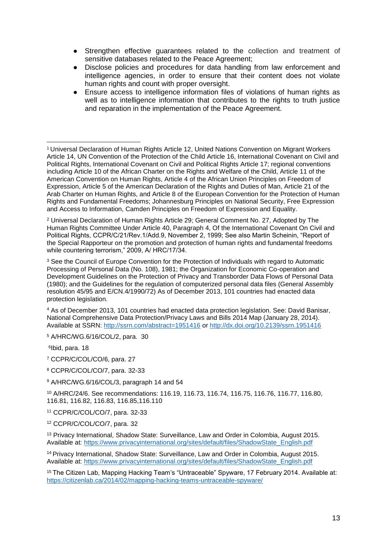- Strengthen effective guarantees related to the collection and treatment of sensitive databases related to the Peace Agreement;
- Disclose policies and procedures for data handling from law enforcement and intelligence agencies, in order to ensure that their content does not violate human rights and count with proper oversight.
- Ensure access to intelligence information files of violations of human rights as well as to intelligence information that contributes to the rights to truth justice and reparation in the implementation of the Peace Agreement.

<sup>2</sup> Universal Declaration of Human Rights Article 29; General Comment No. 27, Adopted by The Human Rights Committee Under Article 40, Paragraph 4, Of the International Covenant On Civil and Political Rights, CCPR/C/21/Rev.1/Add.9, November 2, 1999; See also Martin Scheinin, "Report of the Special Rapporteur on the promotion and protection of human rights and fundamental freedoms while countering terrorism," 2009, A/ HRC/17/34.

<sup>3</sup> See the Council of Europe Convention for the Protection of Individuals with regard to Automatic Processing of Personal Data (No. 108), 1981; the Organization for Economic Co-operation and Development Guidelines on the Protection of Privacy and Transborder Data Flows of Personal Data (1980); and the Guidelines for the regulation of computerized personal data files (General Assembly resolution 45/95 and E/CN.4/1990/72) As of December 2013, 101 countries had enacted data protection legislation.

<sup>4</sup> As of December 2013, 101 countries had enacted data protection legislation. See: David Banisar, National Comprehensive Data Protection/Privacy Laws and Bills 2014 Map (January 28, 2014). Available at SSRN:<http://ssrn.com/abstract=1951416> or<http://dx.doi.org/10.2139/ssrn.1951416>

<sup>5</sup> A/HRC/WG.6/16/COL/2, para. 30

6 Ibid, para. 18

<sup>7</sup> CCPR/C/COL/CO/6, para. 27

<sup>8</sup> CCPR/C/COL/CO/7, para. 32-33

<sup>9</sup> A/HRC/WG.6/16/COL/3, paragraph 14 and 54

<sup>10</sup> A/HRC/24/6. See recommendations: 116.19, 116.73, 116.74, 116.75, 116.76, 116.77, 116.80, 116.81, 116.82, 116.83, 116.85,116.110

<sup>11</sup> CCPR/C/COL/CO/7, para. 32-33

<sup>12</sup> CCPR/C/COL/CO/7, para. 32

<sup>13</sup> Privacy International, Shadow State: Surveillance, Law and Order in Colombia, August 2015. Available at: [https://www.privacyinternational.org/sites/default/files/ShadowState\\_English.pdf](https://www.privacyinternational.org/sites/default/files/ShadowState_English.pdf)

<sup>14</sup> Privacy International, Shadow State: Surveillance, Law and Order in Colombia, August 2015. Available at: [https://www.privacyinternational.org/sites/default/files/ShadowState\\_English.pdf](https://www.privacyinternational.org/sites/default/files/ShadowState_English.pdf)

<sup>15</sup> The Citizen Lab, Mapping Hacking Team's "Untraceable" Spyware, 17 February 2014. Available at: <https://citizenlab.ca/2014/02/mapping-hacking-teams-untraceable-spyware/>

<sup>-</sup><sup>1</sup> Universal Declaration of Human Rights Article 12, United Nations Convention on Migrant Workers Article 14, UN Convention of the Protection of the Child Article 16, International Covenant on Civil and Political Rights, International Covenant on Civil and Political Rights Article 17; regional conventions including Article 10 of the African Charter on the Rights and Welfare of the Child, Article 11 of the American Convention on Human Rights, Article 4 of the African Union Principles on Freedom of Expression, Article 5 of the American Declaration of the Rights and Duties of Man, Article 21 of the Arab Charter on Human Rights, and Article 8 of the European Convention for the Protection of Human Rights and Fundamental Freedoms; Johannesburg Principles on National Security, Free Expression and Access to Information, Camden Principles on Freedom of Expression and Equality.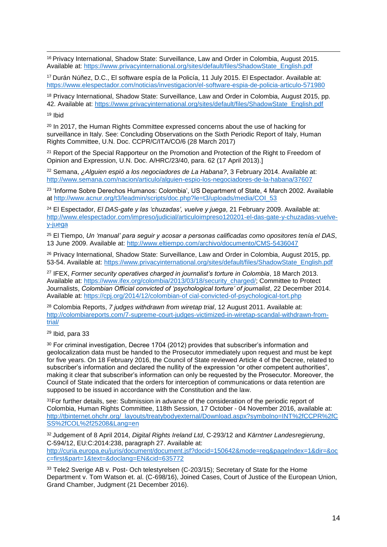-<sup>16</sup> Privacy International, Shadow State: Surveillance, Law and Order in Colombia, August 2015. Available at: [https://www.privacyinternational.org/sites/default/files/ShadowState\\_English.pdf](https://www.privacyinternational.org/sites/default/files/ShadowState_English.pdf)

<sup>17</sup> Durán Núñez, D.C., El software espía de la Policía, 11 July 2015. El Espectador. Available at: <https://www.elespectador.com/noticias/investigacion/el-software-espia-de-policia-articulo-571980>

<sup>18</sup> Privacy International, Shadow State: Surveillance, Law and Order in Colombia, August 2015, pp. 42. Available at: [https://www.privacyinternational.org/sites/default/files/ShadowState\\_English.pdf](https://www.privacyinternational.org/sites/default/files/ShadowState_English.pdf)

<sup>19</sup> Ibid

<sup>20</sup> In 2017, the Human Rights Committee expressed concerns about the use of hacking for surveillance in Italy. See: Concluding Observations on the Sixth Periodic Report of Italy, Human Rights Committee, U.N. Doc. CCPR/C/ITA/CO/6 (28 March 2017)

<sup>21</sup> Report of the Special Rapporteur on the Promotion and Protection of the Right to Freedom of Opinion and Expression, U.N. Doc. A/HRC/23/40, para. 62 (17 April 2013).]

<sup>22</sup> Semana, *¿Alguien espió a los negociadores de La Habana?*, 3 February 2014. Available at: <http://www.semana.com/nacion/articulo/alguien-espio-los-negociadores-de-la-habana/37607>

<sup>23</sup> 'Informe Sobre Derechos Humanos: Colombia', US Department of State, 4 March 2002. Available at [http://www.acnur.org/t3/leadmin/scripts/doc.php?le=t3/uploads/media/COI\\_53](http://www.acnur.org/t3/leadmin/scripts/doc.php?le=t3/uploads/media/COI_53) 

<sup>24</sup> El Espectador, *El DAS-gate y las 'chuzadas', vuelve y juega*, 21 February 2009. Available at: [http://www.elespectador.com/impreso/judicial/articuloimpreso120201-el-das-gate-y-chuzadas-vuelve](http://www.elespectador.com/impreso/judicial/articuloimpreso120201-el-das-gate-y-chuzadas-vuelve-y-juega)[y-juega](http://www.elespectador.com/impreso/judicial/articuloimpreso120201-el-das-gate-y-chuzadas-vuelve-y-juega)

<sup>25</sup> El Tiempo, *Un 'manual' para seguir y acosar a personas calificadas como opositores tenía el DAS*, 13 June 2009. Available at:<http://www.eltiempo.com/archivo/documento/CMS-5436047>

<sup>26</sup> Privacy International, Shadow State: Surveillance, Law and Order in Colombia, August 2015, pp. 53-54. Available at: [https://www.privacyinternational.org/sites/default/files/ShadowState\\_English.pdf](https://www.privacyinternational.org/sites/default/files/ShadowState_English.pdf)

<sup>27</sup> IFEX, *Former security operatives charged in journalist's torture in Colombia*, 18 March 2013. Available at: [https://www.ifex.org/colombia/2013/03/18/security\\_charged/;](https://www.ifex.org/colombia/2013/03/18/security_charged/) Committee to Protect Journalists, *Colombian Official convicted of 'psychological torture' of journalist*, 22 December 2014. Available at: [https://cpj.org/2014/12/colombian-of cial-convicted-of-psychological-tort.php](https://cpj.org/2014/12/colombian-of%20cial-convicted-of-psychological-tort.php)

<sup>28</sup> Colombia Reports, *7 judges withdrawn from wiretap trial*, 12 August 2011. Available at: [http://colombiareports.com/7-supreme-court-judges-victimized-in-wiretap-scandal-withdrawn-from](http://colombiareports.com/7-supreme-court-judges-victimized-in-wiretap-scandal-withdrawn-from-%20trial/)[trial/](http://colombiareports.com/7-supreme-court-judges-victimized-in-wiretap-scandal-withdrawn-from-%20trial/)

<sup>29</sup> Ibid, para 33

<sup>30</sup> For criminal investigation, Decree 1704 (2012) provides that subscriber's information and geolocalization data must be handed to the Prosecutor immediately upon request and must be kept for five years. On 18 February 2016, the Council of State reviewed Article 4 of the Decree, related to subscriber's information and declared the nullity of the expression "or other competent authorities", making it clear that subscriber's information can only be requested by the Prosecutor. Moreover, the Council of State indicated that the orders for interception of communications or data retention are supposed to be issued in accordance with the Constitution and the law.

<sup>31</sup> For further details, see: Submission in advance of the consideration of the periodic report of Colombia, Human Rights Committee, 118th Session, 17 October - 04 November 2016, available at: [http://tbinternet.ohchr.org/\\_layouts/treatybodyexternal/Download.aspx?symbolno=INT%2fCCPR%2fC](http://tbinternet.ohchr.org/_layouts/treatybodyexternal/Download.aspx?symbolno=INT%2fCCPR%2fCSS%2fCOL%2f25208&Lang=en) [SS%2fCOL%2f25208&Lang=en](http://tbinternet.ohchr.org/_layouts/treatybodyexternal/Download.aspx?symbolno=INT%2fCCPR%2fCSS%2fCOL%2f25208&Lang=en)

<sup>32</sup> Judgement of 8 April 2014, *Digital Rights Ireland Ltd*, C-293/12 and *Kärntner Landesregierung*, C-594/12, EU:C:2014:238, paragraph 27. Available at:

[http://curia.europa.eu/juris/document/document.jsf?docid=150642&mode=req&pageIndex=1&dir=&oc](http://curia.europa.eu/juris/document/document.jsf?docid=150642&mode=req&pageIndex=1&dir=&occ=first&part=1&text=&doclang=EN&cid=635772) [c=first&part=1&text=&doclang=EN&cid=635772](http://curia.europa.eu/juris/document/document.jsf?docid=150642&mode=req&pageIndex=1&dir=&occ=first&part=1&text=&doclang=EN&cid=635772)

<sup>33</sup> Tele2 Sverige AB v. Post- Och telestyrelsen (C-203/15); Secretary of State for the Home Department v. Tom Watson et. al. (C-698/16), Joined Cases, Court of Justice of the European Union, Grand Chamber, Judgment (21 December 2016).